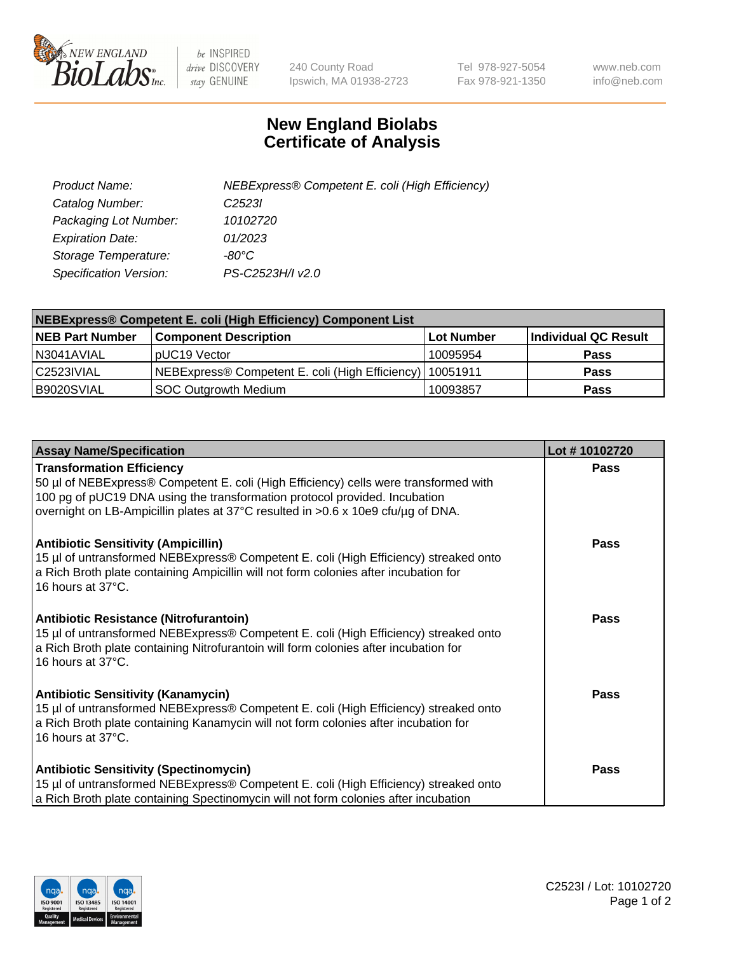

 $be$  INSPIRED drive DISCOVERY stay GENUINE

240 County Road Ipswich, MA 01938-2723 Tel 978-927-5054 Fax 978-921-1350 www.neb.com info@neb.com

## **New England Biolabs Certificate of Analysis**

| Product Name:                 | NEBExpress® Competent E. coli (High Efficiency) |
|-------------------------------|-------------------------------------------------|
| Catalog Number:               | C <sub>2523</sub>                               |
| Packaging Lot Number:         | 10102720                                        |
| <b>Expiration Date:</b>       | 01/2023                                         |
| Storage Temperature:          | -80°C                                           |
| <b>Specification Version:</b> | PS-C2523H/I v2.0                                |

| <b>NEBExpress® Competent E. coli (High Efficiency) Component List</b> |                                                            |            |                      |  |
|-----------------------------------------------------------------------|------------------------------------------------------------|------------|----------------------|--|
| <b>NEB Part Number</b>                                                | <b>Component Description</b>                               | Lot Number | Individual QC Result |  |
| N3041AVIAL                                                            | pUC19 Vector                                               | 10095954   | <b>Pass</b>          |  |
| C2523IVIAL                                                            | NEBExpress® Competent E. coli (High Efficiency)   10051911 |            | <b>Pass</b>          |  |
| B9020SVIAL                                                            | <b>SOC Outgrowth Medium</b>                                | 10093857   | <b>Pass</b>          |  |

| <b>Assay Name/Specification</b>                                                                                                                                                                                                                                                            | Lot #10102720 |
|--------------------------------------------------------------------------------------------------------------------------------------------------------------------------------------------------------------------------------------------------------------------------------------------|---------------|
| <b>Transformation Efficiency</b><br>50 µl of NEBExpress® Competent E. coli (High Efficiency) cells were transformed with<br>100 pg of pUC19 DNA using the transformation protocol provided. Incubation<br>overnight on LB-Ampicillin plates at 37°C resulted in >0.6 x 10e9 cfu/µg of DNA. | Pass          |
| <b>Antibiotic Sensitivity (Ampicillin)</b><br>15 µl of untransformed NEBExpress® Competent E. coli (High Efficiency) streaked onto<br>a Rich Broth plate containing Ampicillin will not form colonies after incubation for<br>16 hours at 37°C.                                            | Pass          |
| <b>Antibiotic Resistance (Nitrofurantoin)</b><br>15 µl of untransformed NEBExpress® Competent E. coli (High Efficiency) streaked onto<br>a Rich Broth plate containing Nitrofurantoin will form colonies after incubation for<br>16 hours at 37°C.                                         | <b>Pass</b>   |
| <b>Antibiotic Sensitivity (Kanamycin)</b><br>15 µl of untransformed NEBExpress® Competent E. coli (High Efficiency) streaked onto<br>a Rich Broth plate containing Kanamycin will not form colonies after incubation for<br>16 hours at 37°C.                                              | Pass          |
| <b>Antibiotic Sensitivity (Spectinomycin)</b><br>15 µl of untransformed NEBExpress® Competent E. coli (High Efficiency) streaked onto<br>a Rich Broth plate containing Spectinomycin will not form colonies after incubation                                                               | <b>Pass</b>   |